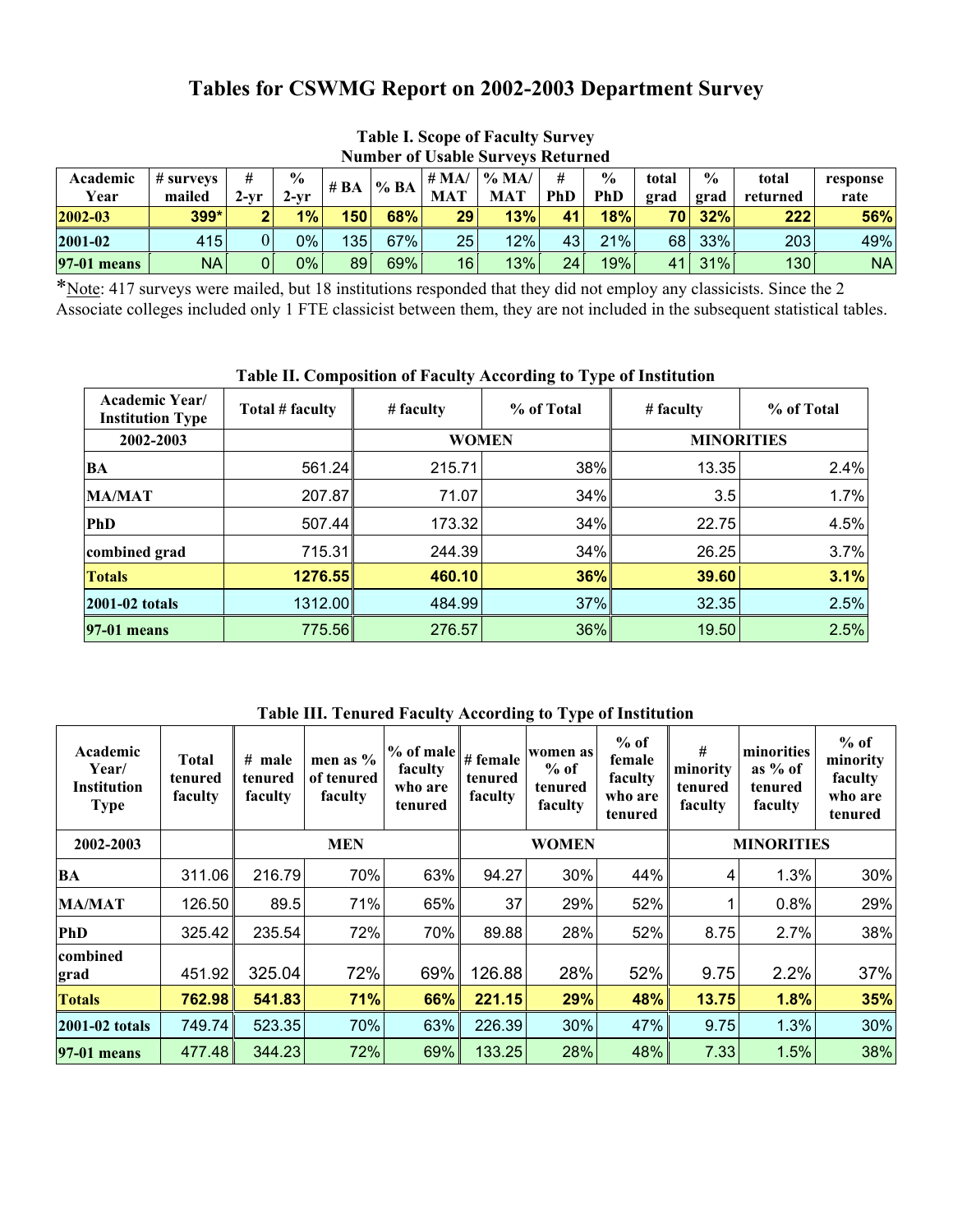# **Tables for CSWMG Report on 2002-2003 Department Survey**

| <b>Number of Usable Surveys Returned</b> |                        |                |                       |                  |     |                       |                        |                 |                             |               |                       |                   |                  |
|------------------------------------------|------------------------|----------------|-----------------------|------------------|-----|-----------------------|------------------------|-----------------|-----------------------------|---------------|-----------------------|-------------------|------------------|
| Academic<br>Year                         | $\#$ surveys<br>mailed | $2-vr$         | $\frac{0}{0}$<br>2-vr | # $BA$           | %BA | # $MA/$<br><b>MAT</b> | $\%$ MA/<br><b>MAT</b> | #<br><b>PhD</b> | $\frac{0}{0}$<br><b>PhD</b> | total<br>grad | $\frac{6}{9}$<br>grad | total<br>returned | response<br>rate |
| $2002 - 03$                              | 399*                   | $\overline{2}$ | 1%                    | 150              | 68% | 29                    | 13%                    | 41              | 18%                         | <b>70</b>     | 32%                   | 222               | 56%              |
| 2001-02                                  | 415                    |                | $0\%$                 | 135 <sub>1</sub> | 67% | 25                    | 12%                    | 43 <sub>l</sub> | 21%                         | 68            | 33%                   | 203               | 49%              |
| <b>97-01 means</b>                       | <b>NA</b>              |                | 0%                    | 89               | 69% | 16                    | 13%                    | 24              | 19%                         | 41            | 31%                   | 130               | NA               |

# **Table I. Scope of Faculty Survey**

\*Note: 417 surveys were mailed, but 18 institutions responded that they did not employ any classicists. Since the 2 Associate colleges included only 1 FTE classicist between them, they are not included in the subsequent statistical tables.

| Table II, Composition of Paculty According to Type of Institution |                 |              |            |                   |            |  |  |  |  |  |
|-------------------------------------------------------------------|-----------------|--------------|------------|-------------------|------------|--|--|--|--|--|
| <b>Academic Year/</b><br><b>Institution Type</b>                  | Total # faculty | # faculty    | % of Total | # faculty         | % of Total |  |  |  |  |  |
| 2002-2003                                                         |                 | <b>WOMEN</b> |            | <b>MINORITIES</b> |            |  |  |  |  |  |
| <b>BA</b>                                                         | 561.24          | 215.71       | $38\%$     | 13.35             | 2.4%       |  |  |  |  |  |
| <b>MA/MAT</b>                                                     | 207.87          | 71.07        | $34\%$     | 3.5               | 1.7%       |  |  |  |  |  |
| <b>PhD</b>                                                        | 507.44          | 173.32       | 34%        | 22.75             | 4.5%       |  |  |  |  |  |
| combined grad                                                     | 715.31          | 244.39       | 34%        | 26.25             | 3.7%       |  |  |  |  |  |
| <b>Totals</b>                                                     | 1276.55         | 460.10       | 36%        | 39.60             | 3.1%       |  |  |  |  |  |
| 2001-02 totals                                                    | 1312.00         | 484.99       | 37%        | 32.35             | 2.5%       |  |  |  |  |  |
| 97-01 means                                                       | 775.56          | 276.57       | 36%        | 19.50             | 2.5%       |  |  |  |  |  |

#### **Table II. Composition of Faculty According to Type of Institution**

**Table III. Tenured Faculty According to Type of Institution**

| Academic<br>Year/<br><b>Institution</b><br><b>Type</b> | <b>Total</b><br>tenured<br>faculty | $#$ male<br>tenured<br>faculty | men as %<br>of tenured<br>faculty | % of male<br>faculty<br>who are<br>tenured | # female<br>tenured<br>faculty | women as<br>$%$ of<br>tenured<br>faculty | $%$ of<br>female<br>faculty<br>who are<br>tenured | #<br>minority<br>tenured<br>faculty | minorities<br>as $%$ of<br>tenured<br>faculty | $%$ of<br>minority<br>faculty<br>who are<br>tenured |  |
|--------------------------------------------------------|------------------------------------|--------------------------------|-----------------------------------|--------------------------------------------|--------------------------------|------------------------------------------|---------------------------------------------------|-------------------------------------|-----------------------------------------------|-----------------------------------------------------|--|
| 2002-2003                                              |                                    |                                | <b>MEN</b>                        |                                            |                                | <b>WOMEN</b>                             |                                                   |                                     | <b>MINORITIES</b>                             |                                                     |  |
| BA                                                     | 311.06                             | 216.79                         | 70%                               | 63%                                        | 94.27                          | 30%                                      | 44%                                               | 4                                   | 1.3%                                          | 30%                                                 |  |
| <b>MA/MAT</b>                                          | 126.50                             | 89.5                           | 71%                               | 65%                                        | 37                             | 29%                                      | 52%                                               |                                     | 0.8%                                          | 29%                                                 |  |
| <b>PhD</b>                                             | 325.42                             | 235.54                         | 72%                               | 70%                                        | 89.88                          | 28%                                      | 52%                                               | 8.75                                | 2.7%                                          | 38%                                                 |  |
| <b>combined</b><br>grad                                | 451.92                             | 325.04                         | 72%                               | 69%                                        | 126.88                         | 28%                                      | 52%                                               | 9.75                                | 2.2%                                          | 37%                                                 |  |
| <b>Totals</b>                                          | 762.98                             | 541.83                         | 71%                               | 66%                                        | 221.15                         | 29%                                      | 48%                                               | 13.75                               | 1.8%                                          | 35%                                                 |  |
| 2001-02 totals                                         | 749.74                             | 523.35                         | 70%                               | 63%                                        | 226.39                         | 30%                                      | 47%                                               | 9.75                                | 1.3%                                          | 30%                                                 |  |
| 197-01 means                                           | 477.48                             | 344.23                         | 72%                               | 69%                                        | 133.25                         | 28%                                      | 48%                                               | 7.33                                | 1.5%                                          | 38%                                                 |  |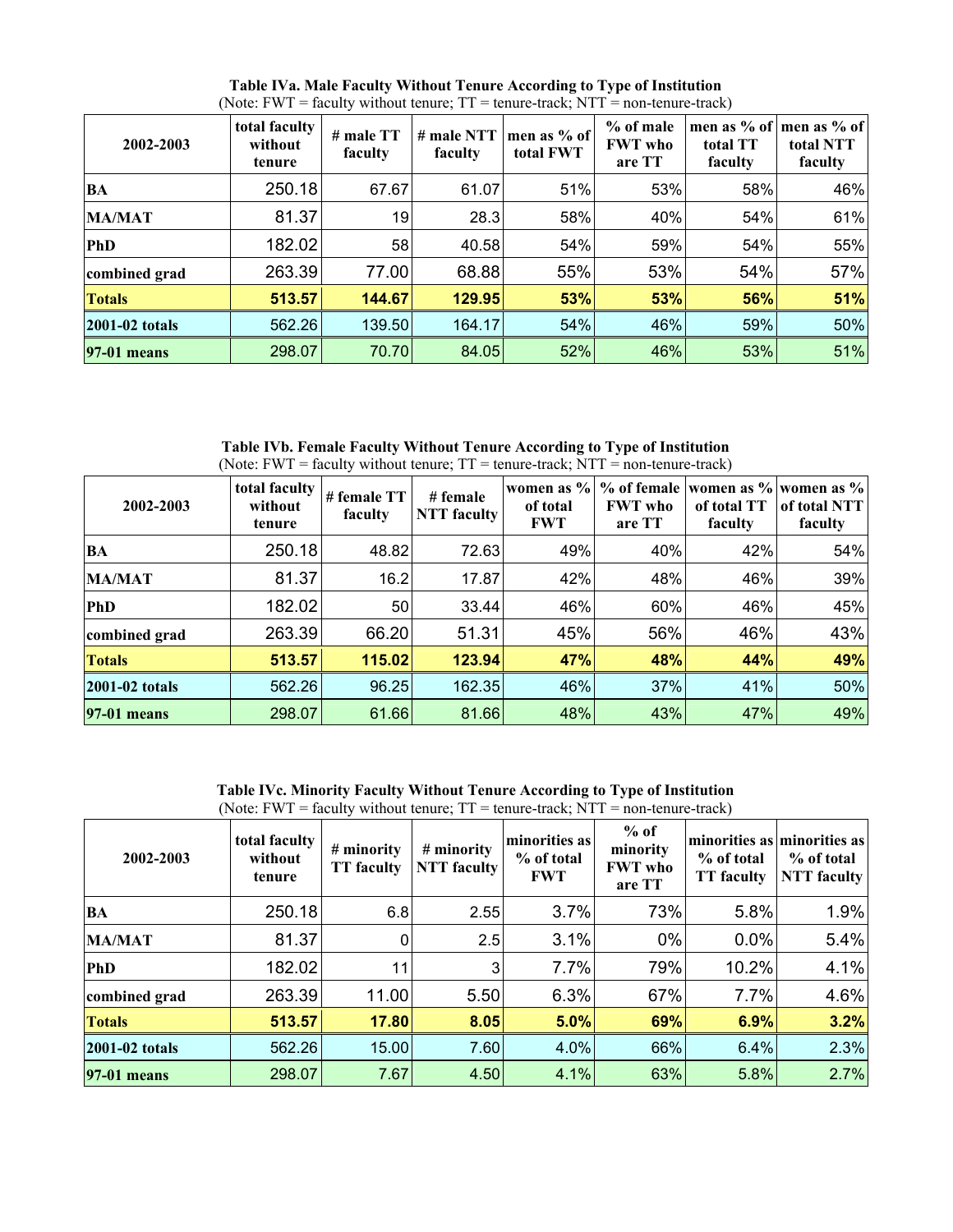| 2002-2003          | total faculty<br>without<br>tenure | # male TT<br>faculty | # male NTT<br>faculty | men as $%$ of<br>total FWT | $%$ of male<br><b>FWT</b> who<br>are TT | total TT<br>faculty | men as % of   men as % of<br>total NTT<br>faculty |
|--------------------|------------------------------------|----------------------|-----------------------|----------------------------|-----------------------------------------|---------------------|---------------------------------------------------|
| <b>BA</b>          | 250.18                             | 67.67                | 61.07                 | 51%                        | 53%                                     | 58%                 | 46%                                               |
| <b>MA/MAT</b>      | 81.37                              | 19                   | 28.3                  | 58%                        | 40%                                     | 54%                 | 61%                                               |
| <b>PhD</b>         | 182.02                             | 58                   | 40.58                 | 54%                        | 59%                                     | 54%                 | 55%                                               |
| combined grad      | 263.39                             | 77.00                | 68.88                 | 55%                        | 53%                                     | 54%                 | 57%                                               |
| <b>Totals</b>      | 513.57                             | 144.67               | 129.95                | 53%                        | 53%                                     | 56%                 | 51%                                               |
| 2001-02 totals     | 562.26                             | 139.50               | 164.17                | 54%                        | 46%                                     | 59%                 | 50%                                               |
| <b>97-01 means</b> | 298.07                             | 70.70                | 84.05                 | 52%                        | 46%                                     | 53%                 | 51%                                               |

**Table IVa. Male Faculty Without Tenure According to Type of Institution**  (Note:  $FWT = \text{faculty without tenure}$ ;  $TT = \text{tenure-track}$ ;  $NTT = \text{non-tenure-track}$ )

**Table IVb. Female Faculty Without Tenure According to Type of Institution**  (Note: FWT = faculty without tenure;  $TT =$  tenure-track; NTT = non-tenure-track)

| 2002-2003      | total faculty<br>without<br>tenure | # female TT<br>faculty | # female<br>NTT faculty | of total<br><b>FWT</b> | <b>FWT</b> who<br>are TT | of total TT<br>faculty | women as % % of female women as % women as %<br>of total NTT<br>faculty |
|----------------|------------------------------------|------------------------|-------------------------|------------------------|--------------------------|------------------------|-------------------------------------------------------------------------|
| <b>BA</b>      | 250.18                             | 48.82                  | 72.63                   | 49%                    | 40%                      | 42%                    | 54%                                                                     |
| <b>MA/MAT</b>  | 81.37                              | 16.2                   | 17.87                   | 42%                    | 48%                      | 46%                    | 39%                                                                     |
| <b>PhD</b>     | 182.02                             | 50                     | 33.44                   | 46%                    | 60%                      | 46%                    | 45%                                                                     |
| combined grad  | 263.39                             | 66.20                  | 51.31                   | 45%                    | 56%                      | 46%                    | 43%                                                                     |
| <b>Totals</b>  | 513.57                             | 115.02                 | 123.94                  | 47%                    | 48%                      | 44%                    | 49%                                                                     |
| 2001-02 totals | 562.26                             | 96.25                  | 162.35                  | 46%                    | 37%                      | 41%                    | 50%                                                                     |
| 97-01 means    | 298.07                             | 61.66                  | 81.66                   | 48%                    | 43%                      | 47%                    | 49%                                                                     |

**Table IVc. Minority Faculty Without Tenure According to Type of Institution** 

| (Note: FWT = faculty without tenure; $TT$ = tenure-track; $NTT$ = non-tenure-track) |                                    |                                 |                                  |                                           |                                                |                                 |                                                          |  |  |  |  |
|-------------------------------------------------------------------------------------|------------------------------------|---------------------------------|----------------------------------|-------------------------------------------|------------------------------------------------|---------------------------------|----------------------------------------------------------|--|--|--|--|
| 2002-2003                                                                           | total faculty<br>without<br>tenure | # minority<br><b>TT</b> faculty | # minority<br><b>NTT</b> faculty | minorities as<br>% of total<br><b>FWT</b> | $%$ of<br>minority<br><b>FWT</b> who<br>are TT | % of total<br><b>TT</b> faculty | minorities as minorities as<br>% of total<br>NTT faculty |  |  |  |  |
| BA                                                                                  | 250.18                             | 6.8                             | 2.55                             | 3.7%                                      | 73%                                            | 5.8%                            | 1.9%                                                     |  |  |  |  |
| <b>MA/MAT</b>                                                                       | 81.37                              | 0                               | 2.5                              | 3.1%                                      | $0\%$                                          | 0.0%                            | 5.4%                                                     |  |  |  |  |
| <b>PhD</b>                                                                          | 182.02                             | 11                              | 3                                | 7.7%                                      | 79%                                            | 10.2%                           | 4.1%                                                     |  |  |  |  |
| combined grad                                                                       | 263.39                             | 11.00                           | 5.50                             | 6.3%                                      | 67%                                            | 7.7%                            | 4.6%                                                     |  |  |  |  |
| <b>Totals</b>                                                                       | 513.57                             | 17.80                           | 8.05                             | 5.0%                                      | 69%                                            | 6.9%                            | 3.2%                                                     |  |  |  |  |
| 2001-02 totals                                                                      | 562.26                             | 15.00                           | 7.60                             | 4.0%                                      | 66%                                            | 6.4%                            | 2.3%                                                     |  |  |  |  |
| <b>97-01 means</b>                                                                  | 298.07                             | 7.67                            | 4.50                             | 4.1%                                      | 63%                                            | 5.8%                            | 2.7%                                                     |  |  |  |  |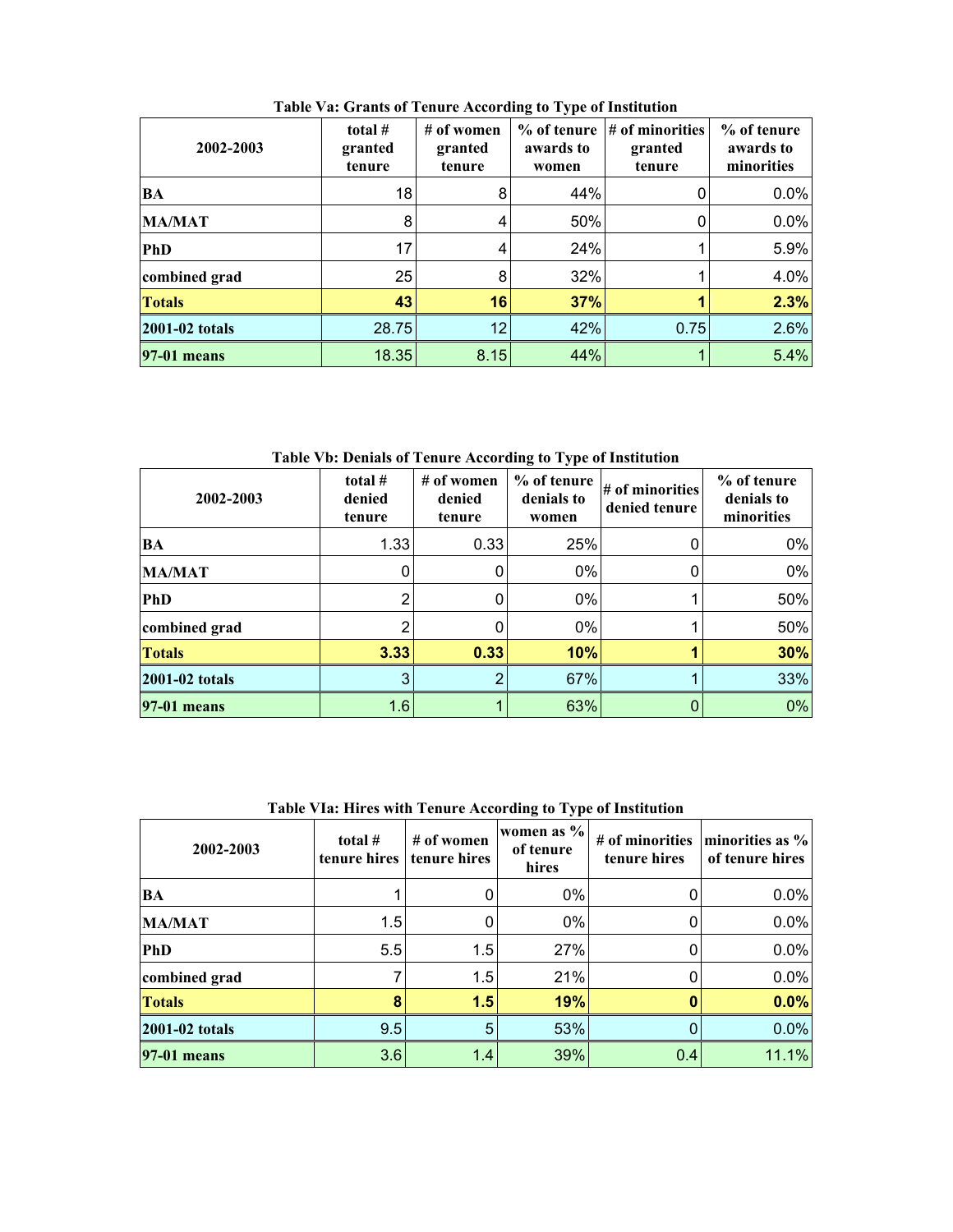| 2002-2003          | total $#$<br>granted<br>tenure | # of women<br>granted<br>tenure | % of tenure<br>awards to<br>women | $\sharp$ of minorities<br>granted<br>tenure | % of tenure<br>awards to<br>minorities |
|--------------------|--------------------------------|---------------------------------|-----------------------------------|---------------------------------------------|----------------------------------------|
| BA                 | 18                             | 8                               | 44%                               |                                             | 0.0%                                   |
| <b>MA/MAT</b>      | 8                              | 4                               | 50%                               |                                             | 0.0%                                   |
| <b>PhD</b>         | 17                             | 4                               | 24%                               |                                             | 5.9%                                   |
| combined grad      | 25                             | 8                               | 32%                               |                                             | 4.0%                                   |
| <b>Totals</b>      | 43                             | 16                              | 37%                               |                                             | 2.3%                                   |
| 2001-02 totals     | 28.75                          | 12                              | 42%                               | 0.75                                        | 2.6%                                   |
| <b>97-01 means</b> | 18.35                          | 8.15                            | 44%                               |                                             | 5.4%                                   |

**Table Va: Grants of Tenure According to Type of Institution** 

**Table Vb: Denials of Tenure According to Type of Institution** 

| 2002-2003      | total #<br>denied<br>tenure | # of women<br>denied<br>tenure | % of tenure<br>denials to<br>women | # of minorities<br>denied tenure | % of tenure<br>denials to<br>minorities |
|----------------|-----------------------------|--------------------------------|------------------------------------|----------------------------------|-----------------------------------------|
| <b>BA</b>      | 1.33                        | 0.33                           | 25%                                |                                  | 0%                                      |
| <b>MA/MAT</b>  |                             |                                | 0%                                 |                                  | 0%                                      |
| <b>PhD</b>     |                             |                                | 0%                                 |                                  | 50%                                     |
| combined grad  |                             |                                | 0%                                 |                                  | 50%                                     |
| <b>Totals</b>  | 3.33                        | 0.33                           | 10%                                |                                  | 30%                                     |
| 2001-02 totals |                             | ◠                              | 67%                                |                                  | 33%                                     |
| 97-01 means    | 1.6                         |                                | 63%                                |                                  | 0%                                      |

| Table Via: Hires with Tenure According to Type of Histitution |                           |                            |                                  |                                 |                                    |  |  |  |  |  |
|---------------------------------------------------------------|---------------------------|----------------------------|----------------------------------|---------------------------------|------------------------------------|--|--|--|--|--|
| 2002-2003                                                     | total $#$<br>tenure hires | # of women<br>tenure hires | women as %<br>of tenure<br>hires | # of minorities<br>tenure hires | minorities as %<br>of tenure hires |  |  |  |  |  |
| BA                                                            |                           |                            | $0\%$                            |                                 | 0.0%                               |  |  |  |  |  |
| <b>MA/MAT</b>                                                 | 1.5                       |                            | 0%                               |                                 | 0.0%                               |  |  |  |  |  |
| <b>PhD</b>                                                    | 5.5                       | 1.5                        | 27%                              |                                 | 0.0%                               |  |  |  |  |  |
| combined grad                                                 |                           | 1.5                        | 21%                              |                                 | 0.0%                               |  |  |  |  |  |
| <b>Totals</b>                                                 | 8                         | 1.5                        | 19%                              |                                 | 0.0%                               |  |  |  |  |  |
| 2001-02 totals                                                | 9.5                       | 5                          | 53%                              |                                 | 0.0%                               |  |  |  |  |  |
| 97-01 means                                                   | 3.6                       | 1.4                        | 39%                              | 0.4                             | 11.1%                              |  |  |  |  |  |

**Table VIa: Hires with Tenure According to Type of Institution**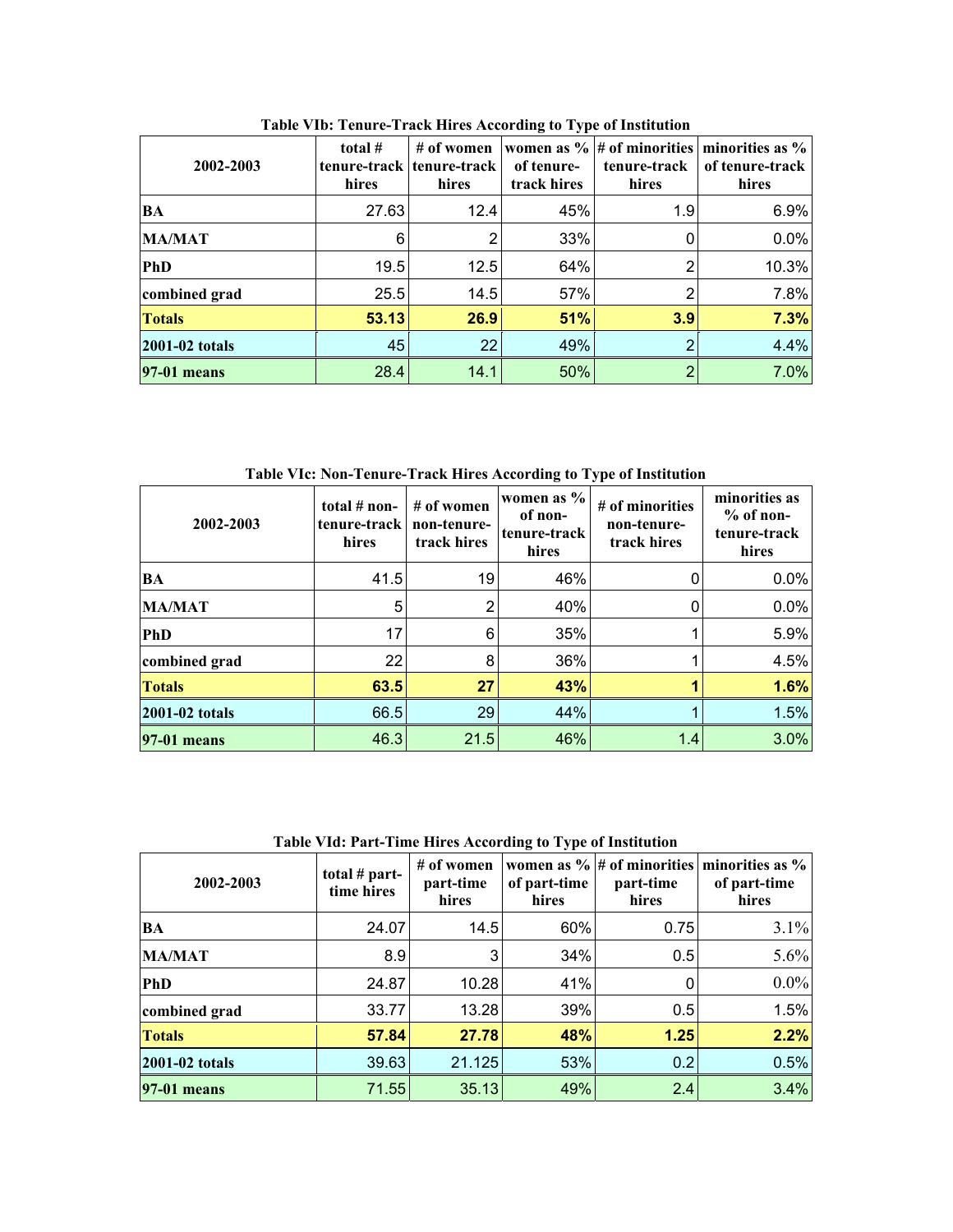| 2002-2003             | total $#$<br>hires | # of women<br>tenure-track tenure-track<br>hires | of tenure-<br>track hires | women as $\%$ # of minorities<br>tenure-track<br>hires | minorities as %<br>of tenure-track<br>hires |
|-----------------------|--------------------|--------------------------------------------------|---------------------------|--------------------------------------------------------|---------------------------------------------|
| <b>BA</b>             | 27.63              | 12.4                                             | 45%                       | 1.9                                                    | 6.9%                                        |
| <b>MA/MAT</b>         | 6                  | 2                                                | 33%                       |                                                        | 0.0%                                        |
| <b>PhD</b>            | 19.5               | 12.5                                             | 64%                       |                                                        | 10.3%                                       |
| combined grad         | 25.5               | 14.5                                             | 57%                       |                                                        | 7.8%                                        |
| <b>Totals</b>         | 53.13              | 26.9                                             | 51%                       | 3.9                                                    | 7.3%                                        |
| <b>2001-02 totals</b> | 45                 | 22                                               | 49%                       | ≘                                                      | 4.4%                                        |
| <b>97-01 means</b>    | 28.4               | 14.1                                             | 50%                       | ◠                                                      | 7.0%                                        |

**Table VIb: Tenure-Track Hires According to Type of Institution** 

**Table VIc: Non-Tenure-Track Hires According to Type of Institution** 

| 2002-2003          | total $#$ non-<br>tenure-track<br>hires | # of women<br>non-tenure-<br>track hires | women as %<br>of non-<br>tenure-track<br>hires | # of minorities<br>non-tenure-<br>track hires | minorities as<br>$%$ of non-<br>tenure-track<br>hires |
|--------------------|-----------------------------------------|------------------------------------------|------------------------------------------------|-----------------------------------------------|-------------------------------------------------------|
| <b>BA</b>          | 41.5                                    | 19                                       | 46%                                            |                                               | 0.0%                                                  |
| <b>MA/MAT</b>      | 5                                       | 2                                        | 40%                                            |                                               | 0.0%                                                  |
| PhD                | 17                                      | 6                                        | 35%                                            |                                               | 5.9%                                                  |
| combined grad      | 22                                      | 8                                        | 36%                                            |                                               | 4.5%                                                  |
| <b>Totals</b>      | 63.5                                    | 27                                       | 43%                                            |                                               | 1.6%                                                  |
| 2001-02 totals     | 66.5                                    | 29                                       | 44%                                            |                                               | 1.5%                                                  |
| <b>97-01 means</b> | 46.3                                    | 21.5                                     | 46%                                            | 1.4                                           | 3.0%                                                  |

**Table VId: Part-Time Hires According to Type of Institution** 

| 2002-2003      | total $#$ part-<br>time hires | # of women<br>part-time<br>hires | of part-time<br>hires | part-time<br>hires | women as $\%$ # of minorities minorities as $\%$<br>of part-time<br>hires |
|----------------|-------------------------------|----------------------------------|-----------------------|--------------------|---------------------------------------------------------------------------|
| <b>BA</b>      | 24.07                         | 14.5                             | 60%                   | 0.75               | 3.1%                                                                      |
| <b>MA/MAT</b>  | 8.9                           | 3                                | 34%                   | 0.5                | 5.6%                                                                      |
| <b>PhD</b>     | 24.87                         | 10.28                            | 41%                   |                    | $0.0\%$                                                                   |
| combined grad  | 33.77                         | 13.28                            | 39%                   | 0.5                | 1.5%                                                                      |
| <b>Totals</b>  | 57.84                         | 27.78                            | 48%                   | 1.25               | 2.2%                                                                      |
| 2001-02 totals | 39.63                         | 21.125                           | 53%                   | 0.2                | 0.5%                                                                      |
| 97-01 means    | 71.55                         | 35.13                            | 49%                   | 2.4                | 3.4%                                                                      |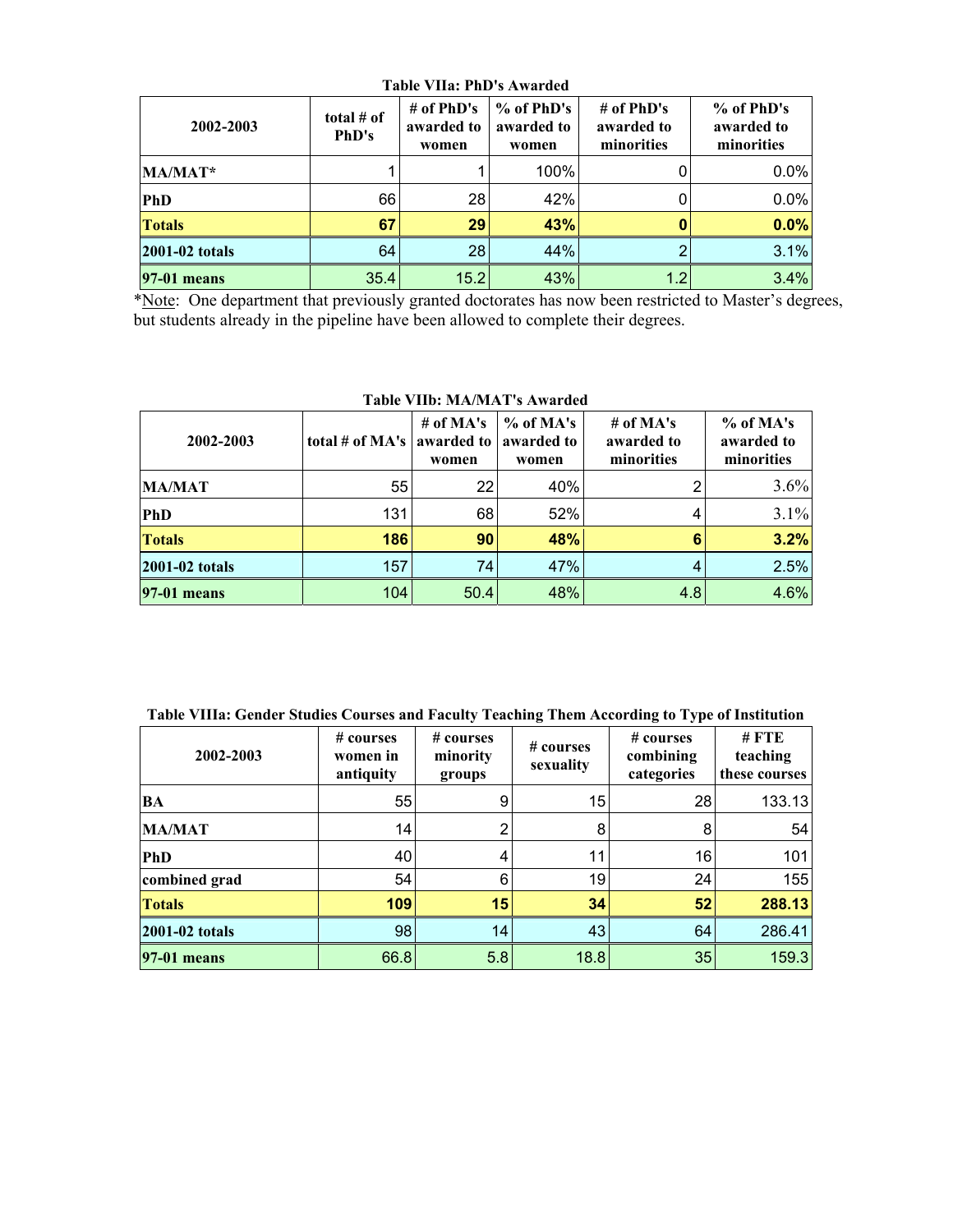| TADIC VITAL LIID SAWATUCU |                       |                                   |                                   |                                          |                                        |  |
|---------------------------|-----------------------|-----------------------------------|-----------------------------------|------------------------------------------|----------------------------------------|--|
| 2002-2003                 | total $#$ of<br>PhD's | # of PhD's<br>awarded to<br>women | % of PhD's<br>awarded to<br>women | # of $PhD's$<br>awarded to<br>minorities | % of PhD's<br>awarded to<br>minorities |  |
| MA/MAT*                   |                       |                                   | 100%                              |                                          | 0.0%                                   |  |
| PhD                       | 66                    | 28                                | 42%                               |                                          | 0.0%                                   |  |
| <b>Totals</b>             | 67                    | 29                                | 43%                               |                                          | 0.0%                                   |  |
| 2001-02 totals            | 64                    | 28                                | 44%                               |                                          | 3.1%                                   |  |
| <b>97-01 means</b>        | 35.4                  | 15.2                              | 43%                               | 1.2                                      | 3.4%                                   |  |

**Table VIIa: PhD's Awarded** 

 \*Note: One department that previously granted doctorates has now been restricted to Master's degrees, but students already in the pipeline have been allowed to complete their degrees.

| Table VIID. MATMAT SAWATUCU |                 |                                    |                                    |                                         |                                       |  |  |
|-----------------------------|-----------------|------------------------------------|------------------------------------|-----------------------------------------|---------------------------------------|--|--|
| 2002-2003                   | total # of MA's | # of $MA's$<br>awarded to<br>women | $%$ of MA's<br>awarded to<br>women | # of $MA's$<br>awarded to<br>minorities | % of MA's<br>awarded to<br>minorities |  |  |
| <b>MA/MAT</b>               | 55              | 22                                 | 40%                                |                                         | 3.6%                                  |  |  |
| <b>PhD</b>                  | 131             | 68                                 | 52%                                |                                         | 3.1%                                  |  |  |
| <b>Totals</b>               | 186             | 90                                 | 48%                                | 6                                       | 3.2%                                  |  |  |
| 2001-02 totals              | 157             | 74                                 | 47%                                |                                         | 2.5%                                  |  |  |
| 97-01 means                 | 104             | 50.4                               | 48%                                | 4.8                                     | 4.6%                                  |  |  |

## **Table VIIb: MA/MAT's Awarded**

| 2002-2003          | # courses<br>women in<br>antiquity | # courses<br>minority<br>groups | # courses<br>sexuality | $# \; \text{course}$<br>combining<br>categories | $#$ FTE<br>teaching<br>these courses |
|--------------------|------------------------------------|---------------------------------|------------------------|-------------------------------------------------|--------------------------------------|
| <b>BA</b>          | 55                                 | 9                               | 15                     | 28                                              | 133.13                               |
| <b>MA/MAT</b>      | 14                                 | 2                               | 8                      | 8                                               | 54                                   |
| <b>PhD</b>         | 40                                 | 4                               | 11                     | 16                                              | 101                                  |
| combined grad      | 54                                 | 6                               | 19                     | 24                                              | 155                                  |
| <b>Totals</b>      | 109                                | 15                              | 34                     | 52                                              | 288.13                               |
| 2001-02 totals     | 98                                 | 14                              | 43                     | 64                                              | 286.41                               |
| <b>97-01 means</b> | 66.8                               | 5.8                             | 18.8                   | 35                                              | 159.3                                |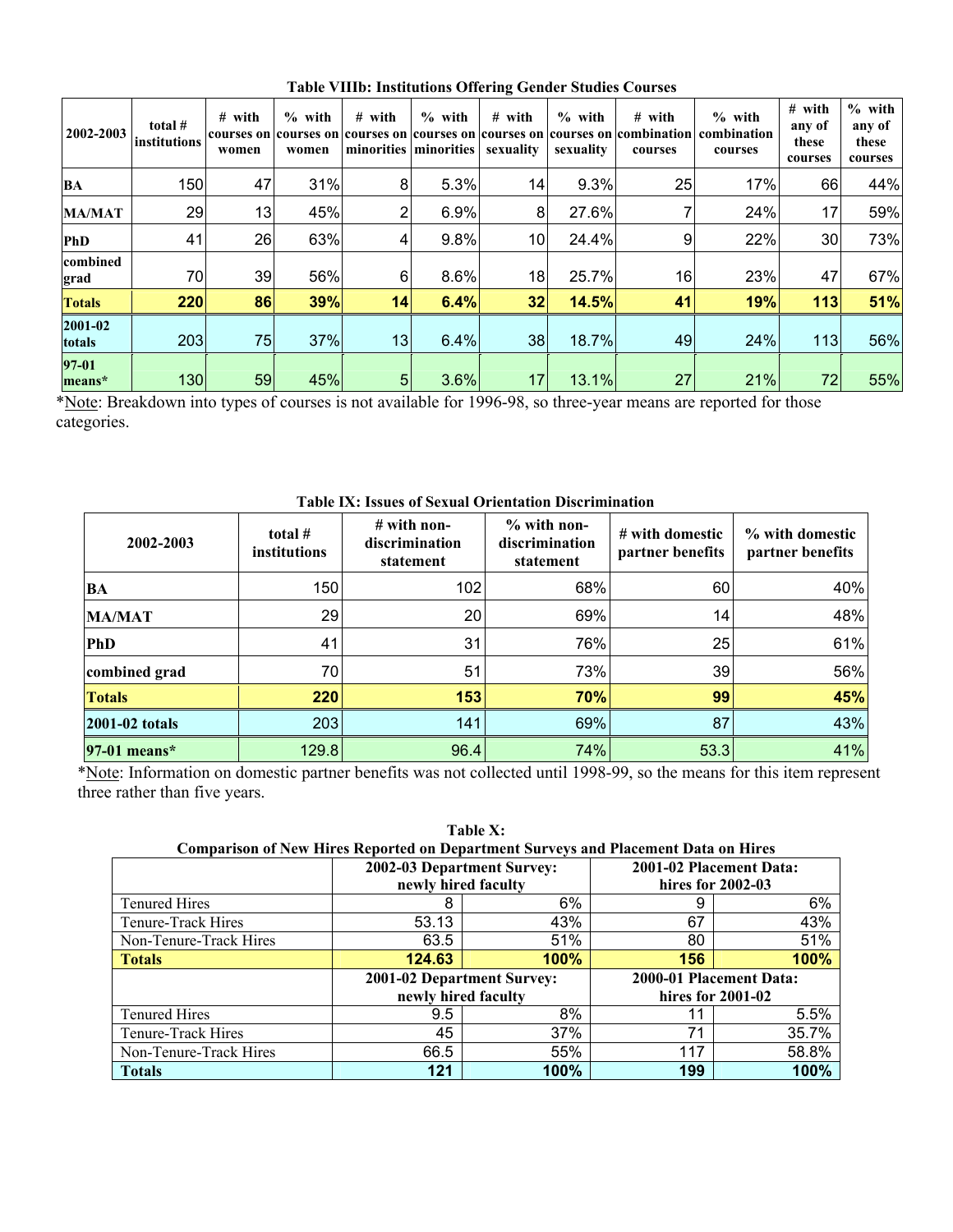| 2002-2003         | total #<br>institutions | # with<br>courses on<br>women | $%$ with<br>women | $#$ with<br>courses on courses on courses on courses on | $%$ with<br>minorities   minorities | $#$ with<br>sexuality | $%$ with<br>sexuality | $#$ with<br>courses | $%$ with<br>courses on combination combination<br>courses | # with<br>any of<br>these<br>courses | $%$ with<br>any of<br>these<br>courses |
|-------------------|-------------------------|-------------------------------|-------------------|---------------------------------------------------------|-------------------------------------|-----------------------|-----------------------|---------------------|-----------------------------------------------------------|--------------------------------------|----------------------------------------|
| BA                | 150                     | 47                            | 31%               | 8                                                       | 5.3%                                | 14                    | 9.3%                  | 25                  | 17%                                                       | 66                                   | 44%                                    |
| <b>MA/MAT</b>     | 29                      | 13                            | 45%               | $\overline{2}$                                          | 6.9%                                | 8                     | 27.6%                 |                     | 24%                                                       | 17                                   | 59%                                    |
| <b>PhD</b>        | 41                      | 26                            | 63%               | 4                                                       | 9.8%                                | 10                    | 24.4%                 | 9                   | 22%                                                       | 30                                   | 73%                                    |
| combined<br>grad  | 70                      | 39                            | 56%               | 6                                                       | 8.6%                                | 18                    | 25.7%                 | 16                  | 23%                                                       | 47                                   | 67%                                    |
| <b>Totals</b>     | 220                     | 86                            | 39%               | 14                                                      | 6.4%                                | 32                    | 14.5%                 | 41                  | 19%                                                       | 113                                  | 51%                                    |
| 2001-02<br>totals | 203                     | 75                            | 37%               | 13                                                      | 6.4%                                | 38                    | 18.7%                 | 49                  | 24%                                                       | 113                                  | 56%                                    |
| 97-01<br>means*   | 130                     | 59                            | 45%               | 5 <sub>5</sub>                                          | 3.6%                                | 17                    | 13.1%                 | 27                  | 21%                                                       | 72                                   | 55%                                    |

**Table VIIIb: Institutions Offering Gender Studies Courses**

\*Note: Breakdown into types of courses is not available for 1996-98, so three-year means are reported for those categories.

| 2002-2003      | total $#$<br>institutions | $#$ with non-<br>discrimination<br>statement | $%$ with non-<br>discrimination<br>statement | # with domestic<br>partner benefits | % with domestic<br>partner benefits |
|----------------|---------------------------|----------------------------------------------|----------------------------------------------|-------------------------------------|-------------------------------------|
| BA             | 150                       | 102                                          | 68%                                          | 60                                  | 40%                                 |
| <b>MA/MAT</b>  | 29                        | 20                                           | 69%                                          | 14                                  | 48%                                 |
| <b>PhD</b>     | 41                        | 31                                           | 76%                                          | 25                                  | 61%                                 |
| combined grad  | 70                        | 51                                           | 73%                                          | 39                                  | 56%                                 |
| <b>Totals</b>  | 220                       | 153                                          | 70%                                          | 99                                  | 45%                                 |
| 2001-02 totals | 203                       | 141                                          | 69%                                          | 87                                  | 43%                                 |
| $97-01$ means* | 129.8                     | 96.4                                         | 74%                                          | 53.3                                | 41%                                 |

**Table IX: Issues of Sexual Orientation Discrimination** 

 \*Note: Information on domestic partner benefits was not collected until 1998-99, so the means for this item represent three rather than five years.

**Table X:** 

| <b>Comparison of New Hires Reported on Department Surveys and Placement Data on Hires</b> |                            |                     |                         |                         |  |  |
|-------------------------------------------------------------------------------------------|----------------------------|---------------------|-------------------------|-------------------------|--|--|
|                                                                                           | 2002-03 Department Survey: |                     | 2001-02 Placement Data: |                         |  |  |
|                                                                                           | newly hired faculty        |                     | hires for 2002-03       |                         |  |  |
| <b>Tenured Hires</b>                                                                      | 8                          | 6%                  | 9                       | 6%                      |  |  |
| Tenure-Track Hires                                                                        | 53.13                      | 43%                 | 67                      | 43%                     |  |  |
| Non-Tenure-Track Hires                                                                    | 63.5                       | 51%                 | 80                      | 51%                     |  |  |
| <b>Totals</b>                                                                             | 124.63                     | 100%                | 156                     | 100%                    |  |  |
|                                                                                           | 2001-02 Department Survey: |                     |                         | 2000-01 Placement Data: |  |  |
|                                                                                           |                            | newly hired faculty |                         | hires for $2001-02$     |  |  |
| <b>Tenured Hires</b>                                                                      | 9.5                        | 8%                  | 11                      | 5.5%                    |  |  |
| Tenure-Track Hires                                                                        | 45                         | 37%                 | 71                      | 35.7%                   |  |  |
| Non-Tenure-Track Hires                                                                    | 66.5                       | 55%                 | 117                     | 58.8%                   |  |  |
| <b>Totals</b>                                                                             | 121                        | 100%                | 199                     | 100%                    |  |  |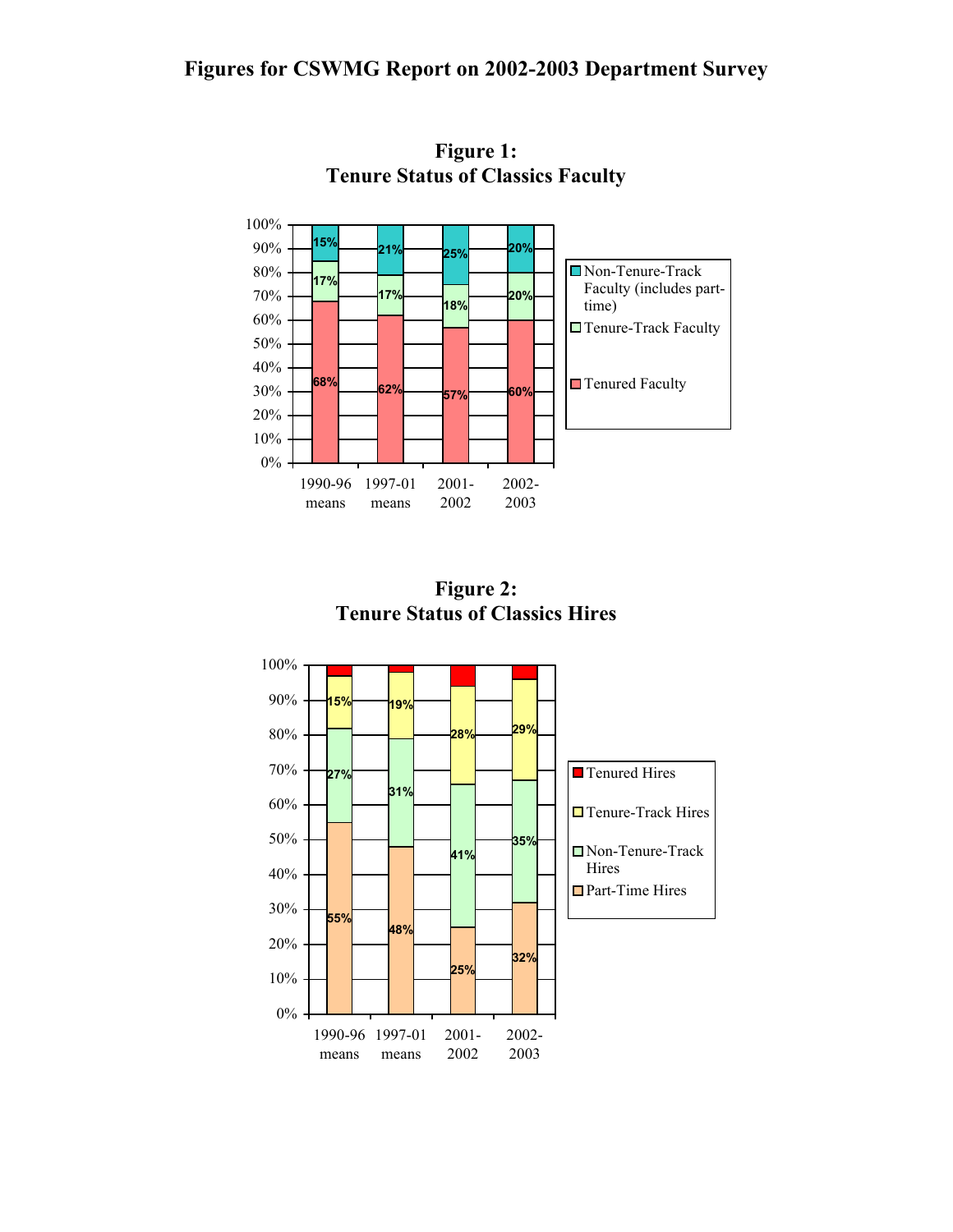## **Figures for CSWMG Report on 2002-2003 Department Survey**



**Figure 1: Tenure Status of Classics Faculty**

**Figure 2: Tenure Status of Classics Hires**

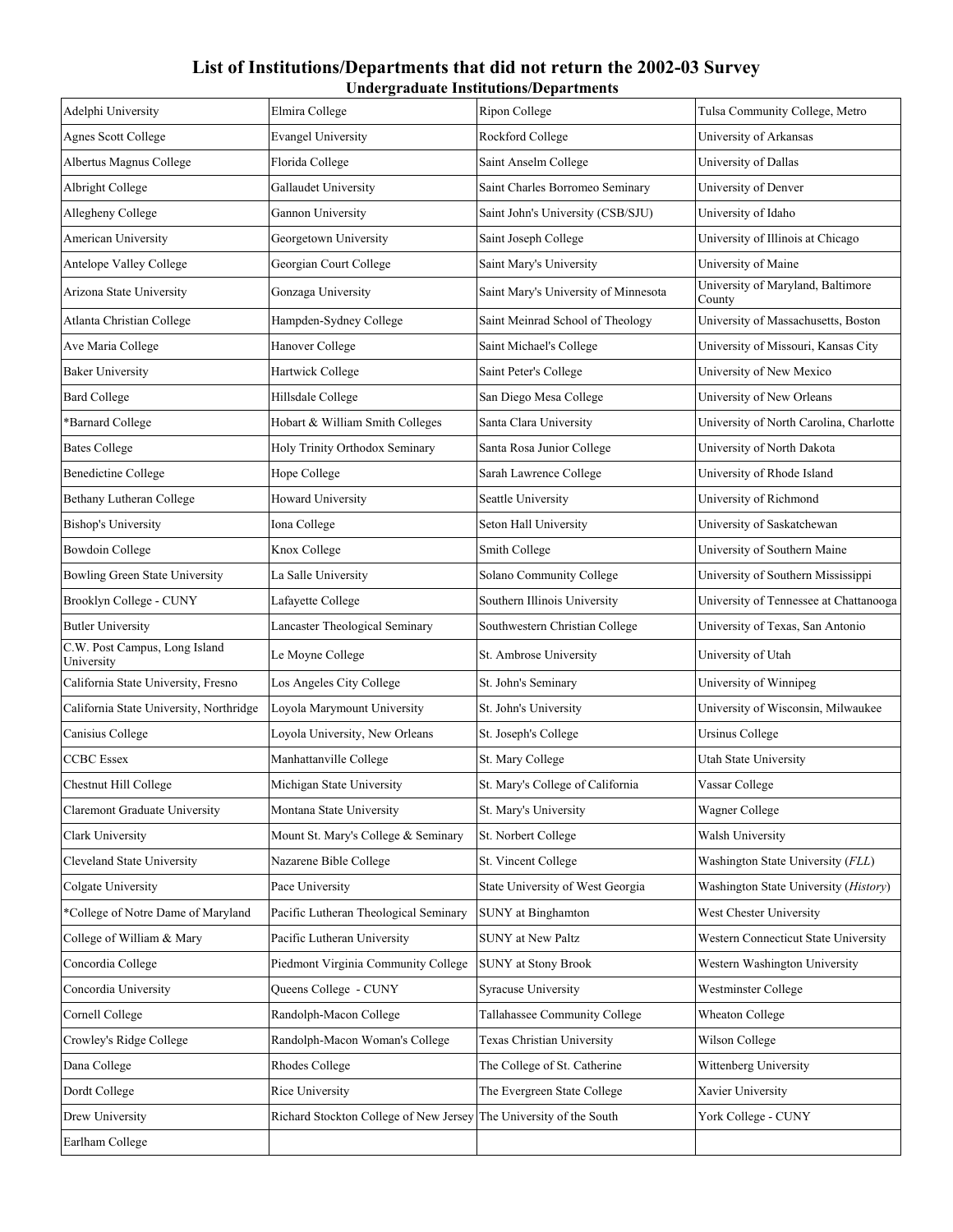### **List of Institutions/Departments that did not return the 2002-03 Survey Undergraduate Institutions/Departments**

| Adelphi University                          | Elmira College                                                     | Ripon College                        | Tulsa Community College, Metro              |
|---------------------------------------------|--------------------------------------------------------------------|--------------------------------------|---------------------------------------------|
| <b>Agnes Scott College</b>                  | <b>Evangel University</b>                                          | Rockford College                     | University of Arkansas                      |
| Albertus Magnus College                     | Florida College                                                    | Saint Anselm College                 | University of Dallas                        |
| Albright College                            | Gallaudet University                                               | Saint Charles Borromeo Seminary      | University of Denver                        |
| Allegheny College                           | Gannon University                                                  | Saint John's University (CSB/SJU)    | University of Idaho                         |
| American University                         | Georgetown University                                              | Saint Joseph College                 | University of Illinois at Chicago           |
| Antelope Valley College                     | Georgian Court College                                             | Saint Mary's University              | University of Maine                         |
| Arizona State University                    | Gonzaga University                                                 | Saint Mary's University of Minnesota | University of Maryland, Baltimore<br>County |
| Atlanta Christian College                   | Hampden-Sydney College                                             | Saint Meinrad School of Theology     | University of Massachusetts, Boston         |
| Ave Maria College                           | Hanover College                                                    | Saint Michael's College              | University of Missouri, Kansas City         |
| <b>Baker University</b>                     | Hartwick College                                                   | Saint Peter's College                | University of New Mexico                    |
| <b>Bard College</b>                         | Hillsdale College                                                  | San Diego Mesa College               | University of New Orleans                   |
| *Barnard College                            | Hobart & William Smith Colleges                                    | Santa Clara University               | University of North Carolina, Charlotte     |
| <b>Bates College</b>                        | Holy Trinity Orthodox Seminary                                     | Santa Rosa Junior College            | University of North Dakota                  |
| <b>Benedictine College</b>                  | Hope College                                                       | Sarah Lawrence College               | University of Rhode Island                  |
| <b>Bethany Lutheran College</b>             | Howard University                                                  | Seattle University                   | University of Richmond                      |
| <b>Bishop's University</b>                  | Iona College                                                       | Seton Hall University                | University of Saskatchewan                  |
| Bowdoin College                             | Knox College                                                       | Smith College                        | University of Southern Maine                |
| Bowling Green State University              | La Salle University                                                | Solano Community College             | University of Southern Mississippi          |
| Brooklyn College - CUNY                     | Lafayette College                                                  | Southern Illinois University         | University of Tennessee at Chattanooga      |
| <b>Butler University</b>                    | Lancaster Theological Seminary                                     | Southwestern Christian College       | University of Texas, San Antonio            |
| C.W. Post Campus, Long Island<br>University | Le Moyne College                                                   | St. Ambrose University               | University of Utah                          |
| California State University, Fresno         | Los Angeles City College                                           | St. John's Seminary                  | University of Winnipeg                      |
| California State University, Northridge     | Loyola Marymount University                                        | St. John's University                | University of Wisconsin, Milwaukee          |
| Canisius College                            | Loyola University, New Orleans                                     | St. Joseph's College                 | <b>Ursinus College</b>                      |
| <b>CCBC</b> Essex                           | Manhattanville College                                             | St. Mary College                     | Utah State University                       |
| Chestnut Hill College                       | Michigan State University                                          | St. Mary's College of California     | Vassar College                              |
| Claremont Graduate University               | Montana State University                                           | St. Mary's University                | Wagner College                              |
| Clark University                            | Mount St. Mary's College & Seminary                                | St. Norbert College                  | Walsh University                            |
| <b>Cleveland State University</b>           | Nazarene Bible College                                             | St. Vincent College                  | Washington State University (FLL)           |
| Colgate University                          | Pace University                                                    | State University of West Georgia     | Washington State University (History)       |
| *College of Notre Dame of Maryland          | Pacific Lutheran Theological Seminary                              | <b>SUNY</b> at Binghamton            | West Chester University                     |
| College of William & Mary                   | Pacific Lutheran University                                        | <b>SUNY</b> at New Paltz             | Western Connecticut State University        |
| Concordia College                           | Piedmont Virginia Community College                                | <b>SUNY</b> at Stony Brook           | Western Washington University               |
| Concordia University                        | Queens College - CUNY                                              | Syracuse University                  | Westminster College                         |
| Cornell College                             | Randolph-Macon College                                             | Tallahassee Community College        | Wheaton College                             |
| Crowley's Ridge College                     | Randolph-Macon Woman's College                                     | Texas Christian University           | Wilson College                              |
| Dana College                                | Rhodes College                                                     | The College of St. Catherine         | Wittenberg University                       |
| Dordt College                               | Rice University                                                    | The Evergreen State College          | Xavier University                           |
| Drew University                             | Richard Stockton College of New Jersey The University of the South |                                      | York College - CUNY                         |
| Earlham College                             |                                                                    |                                      |                                             |